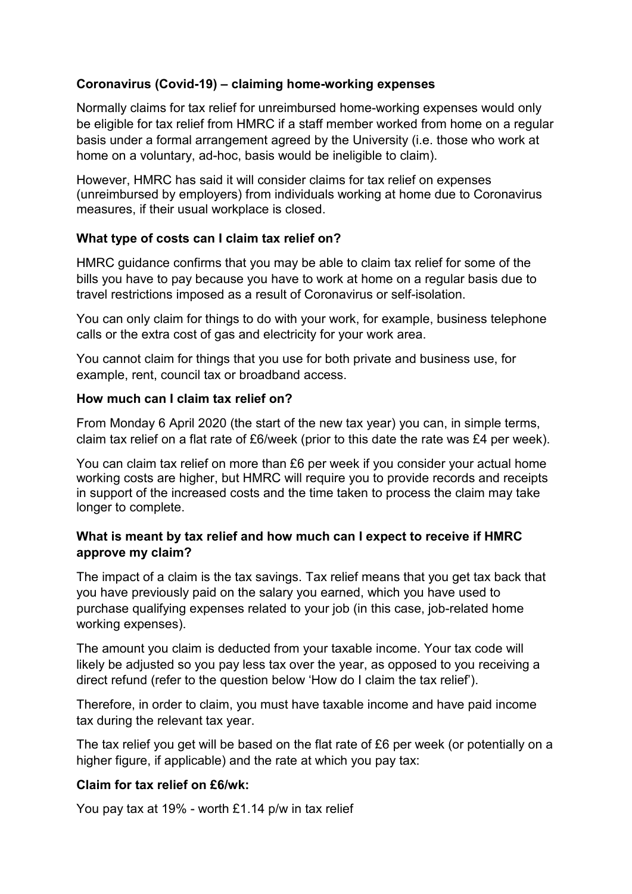# **Coronavirus (Covid-19) – claiming home-working expenses**

Normally claims for tax relief for unreimbursed home-working expenses would only be eligible for tax relief from HMRC if a staff member worked from home on a regular basis under a formal arrangement agreed by the University (i.e. those who work at home on a voluntary, ad-hoc, basis would be ineligible to claim).

However, HMRC has said it will consider claims for tax relief on expenses (unreimbursed by employers) from individuals working at home due to Coronavirus measures, if their usual workplace is closed.

# **What type of costs can I claim tax relief on?**

HMRC guidance confirms that you may be able to claim tax relief for some of the bills you have to pay because you have to work at home on a regular basis due to travel restrictions imposed as a result of Coronavirus or self-isolation.

You can only claim for things to do with your work, for example, business telephone calls or the extra cost of gas and electricity for your work area.

You cannot claim for things that you use for both private and business use, for example, rent, council tax or broadband access.

## **How much can I claim tax relief on?**

From Monday 6 April 2020 (the start of the new tax year) you can, in simple terms, claim tax relief on a flat rate of £6/week (prior to this date the rate was £4 per week).

You can claim tax relief on more than £6 per week if you consider your actual home working costs are higher, but HMRC will require you to provide records and receipts in support of the increased costs and the time taken to process the claim may take longer to complete.

## **What is meant by tax relief and how much can I expect to receive if HMRC approve my claim?**

The impact of a claim is the tax savings. Tax relief means that you get tax back that you have previously paid on the salary you earned, which you have used to purchase qualifying expenses related to your job (in this case, job-related home working expenses).

The amount you claim is deducted from your taxable income. Your tax code will likely be adjusted so you pay less tax over the year, as opposed to you receiving a direct refund (refer to the question below 'How do I claim the tax relief').

Therefore, in order to claim, you must have taxable income and have paid income tax during the relevant tax year.

The tax relief you get will be based on the flat rate of £6 per week (or potentially on a higher figure, if applicable) and the rate at which you pay tax:

#### **Claim for tax relief on £6/wk:**

You pay tax at 19% - worth £1.14 p/w in tax relief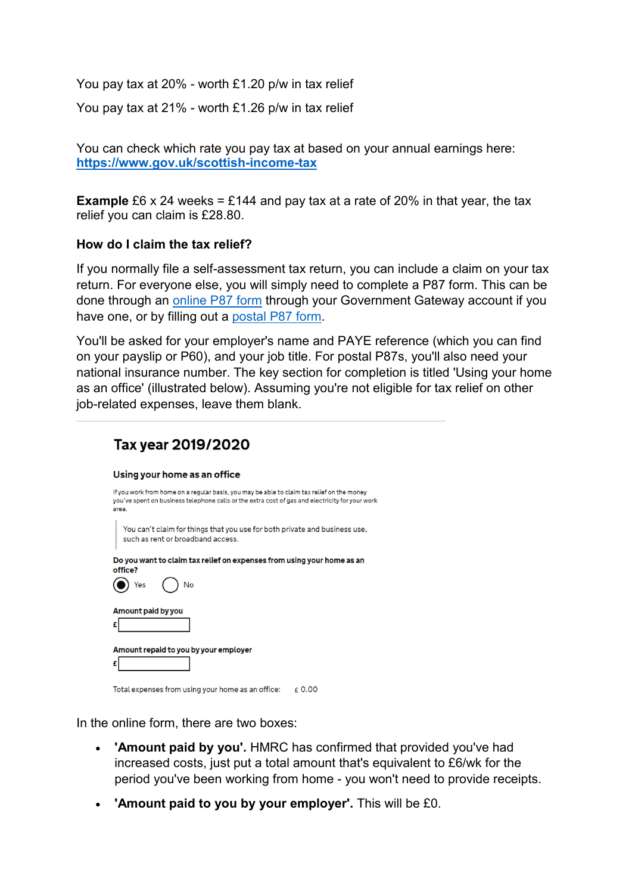You pay tax at 20% - worth £1.20 p/w in tax relief

You pay tax at 21% - worth £1.26 p/w in tax relief

You can check which rate you pay tax at based on your annual earnings here: **<https://www.gov.uk/scottish-income-tax>**

**Example** £6 x 24 weeks = £144 and pay tax at a rate of 20% in that year, the tax relief you can claim is £28.80.

#### **How do I claim the tax relief?**

If you normally file a self-assessment tax return, you can include a claim on your tax return. For everyone else, you will simply need to complete a P87 form. This can be done through an [online P87 form](https://www.gov.uk/guidance/claim-income-tax-relief-for-your-employment-expenses-p87) through your Government Gateway account if you have one, or by filling out a [postal P87 form.](https://www.gov.uk/guidance/claim-income-tax-relief-for-your-employment-expenses-p87)

You'll be asked for your employer's name and PAYE reference (which you can find on your payslip or P60), and your job title. For postal P87s, you'll also need your national insurance number. The key section for completion is titled 'Using your home as an office' (illustrated below). Assuming you're not eligible for tax relief on other job-related expenses, leave them blank.

| Tax year 2019/2020                                                                                                                                                                                     |
|--------------------------------------------------------------------------------------------------------------------------------------------------------------------------------------------------------|
| Using your home as an office                                                                                                                                                                           |
| If you work from home on a regular basis, you may be able to claim tax relief on the money<br>you've spent on business telephone calls or the extra cost of gas and electricity for your work<br>area. |
| You can't claim for things that you use for both private and business use,<br>such as rent or broadband access.                                                                                        |
| Do you want to claim tax relief on expenses from using your home as an<br>office?                                                                                                                      |
| No                                                                                                                                                                                                     |
| Amount paid by you                                                                                                                                                                                     |
| £                                                                                                                                                                                                      |
| Amount repaid to you by your employer                                                                                                                                                                  |
| £                                                                                                                                                                                                      |
| Total expenses from using your home as an office:<br>£0.00                                                                                                                                             |

In the online form, there are two boxes:

- **'Amount paid by you'.** HMRC has confirmed that provided you've had increased costs, just put a total amount that's equivalent to £6/wk for the period you've been working from home - you won't need to provide receipts.
- **'Amount paid to you by your employer'.** This will be £0.